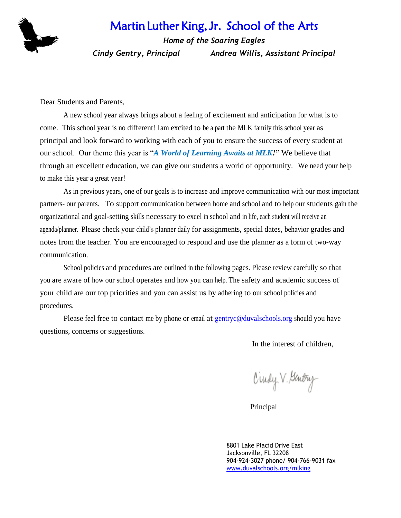## Martin Luther King, Jr. School of the Arts



*Home of the Soaring Eagles Cindy Gentry, Principal Andrea Willis, Assistant Principal*

Dear Students and Parents,

A new school year always brings about a feeling of excitement and anticipation for what is to come. This school year is no different! I am excited to be a part the MLK family this school year as principal and look forward to working with each of you to ensure the success of every student at our school. Our theme this year is "*A World of Learning Awaits at MLK!***"** We believe that through an excellent education, we can give our students a world of opportunity. We need your help to make this year a great year!

As in previous years, one of our goals is to increase and improve communication with our most important partners- our parents. To support communication between home and school and to help our students gain the organizational and goal-setting skills necessary to excel in school and in life, each student will receive an agenda/planner. Please check your child's planner daily for assignments, special dates, behavior grades and notes from the teacher. You are encouraged to respond and use the planner as a form of two-way communication.

School policies and procedures are outlined in the following pages. Please review carefully so that you are aware of how our school operates and how you can help. The safety and academic success of your child are our top priorities and you can assist us by adhering to our school policies and procedures.

Please feel free to contact me by phone or email at [gentryc@duvalschools.org s](mailto:gentryc@duvalschools.org)hould you have questions, concerns or suggestions.

In the interest of children,

Ciudy V. Gentry

Principal

8801 Lake Placid Drive East Jacksonville, FL 32208 904-924-3027 phone/ 904-766-9031 fax [www.duvalschools.org/mlking](http://www.duvalschools.org/mlking)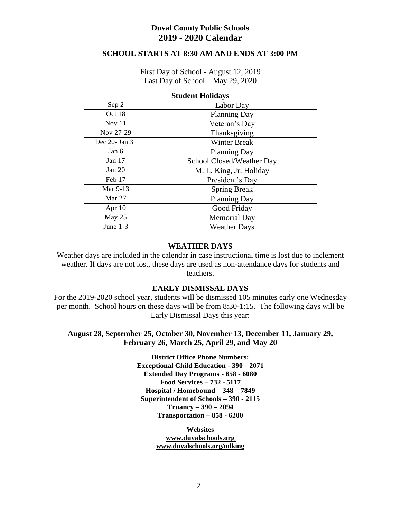## **Duval County Public Schools 2019 - 2020 Calendar**

## **SCHOOL STARTS AT 8:30 AM AND ENDS AT 3:00 PM**

First Day of School - August 12, 2019 Last Day of School – May 29, 2020

| Diuuchi Honuu yb   |                           |  |  |  |  |
|--------------------|---------------------------|--|--|--|--|
| Sep 2              | Labor Day                 |  |  |  |  |
| Oct 18             | <b>Planning Day</b>       |  |  |  |  |
| Nov 11             | Veteran's Day             |  |  |  |  |
| Nov 27-29          | Thanksgiving              |  |  |  |  |
| Dec $20$ - Jan $3$ | <b>Winter Break</b>       |  |  |  |  |
| Jan 6              | <b>Planning Day</b>       |  |  |  |  |
| Jan $17$           | School Closed/Weather Day |  |  |  |  |
| Jan 20             | M. L. King, Jr. Holiday   |  |  |  |  |
| Feb 17             | President's Day           |  |  |  |  |
| Mar 9-13           | <b>Spring Break</b>       |  |  |  |  |
| Mar $27$           | <b>Planning Day</b>       |  |  |  |  |
| Apr $10$           | Good Friday               |  |  |  |  |
| May 25             | <b>Memorial Day</b>       |  |  |  |  |
| June $1-3$         | <b>Weather Days</b>       |  |  |  |  |

#### **Student Holidays**

### **WEATHER DAYS**

Weather days are included in the calendar in case instructional time is lost due to inclement weather. If days are not lost, these days are used as non-attendance days for students and teachers.

### **EARLY DISMISSAL DAYS**

For the 2019-2020 school year, students will be dismissed 105 minutes early one Wednesday per month. School hours on these days will be from 8:30-1:15. The following days will be Early Dismissal Days this year:

## **August 28, September 25, October 30, November 13, December 11, January 29, February 26, March 25, April 29, and May 20**

**District Office Phone Numbers: Exceptional Child Education - 390 – 2071 Extended Day Programs - 858 - 6080 Food Services – 732 - 5117 Hospital / Homebound – 348 – 7849 Superintendent of Schools – 390 - 2115 Truancy – 390 – 2094 Transportation – 858 - 6200**

> **Websites [www.duvalschools.org](http://www.duvalschools.org/) [www.duvalschools.org/mlking](http://www.duvalschools.org/mlking)**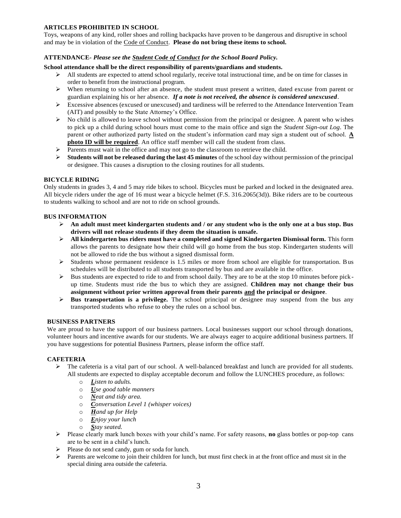#### **ARTICLES PROHIBITED IN SCHOOL**

Toys, weapons of any kind, roller shoes and rolling backpacks have proven to be dangerous and disruptive in school and may be in violation of the Code of Conduct. **Please do not bring these items to school.**

#### **ATTENDANCE-** *Please see the Student Code of Conduct for the School Board Policy.*

#### **School attendance shall be the direct responsibility of parents/guardians and students.**

- $\triangleright$  All students are expected to attend school regularly, receive total instructional time, and be on time for classes in order to benefit from the instructional program.
- $\triangleright$  When returning to school after an absence, the student must present a written, dated excuse from parent or guardian explaining his or her absence. *If a note is not received, the absence is considered unexcused*.
- Excessive absences (excused or unexcused) and tardiness will be referred to the Attendance Intervention Team (AIT) and possibly to the State Attorney's Office.
- $\triangleright$  No child is allowed to leave school without permission from the principal or designee. A parent who wishes to pick up a child during school hours must come to the main office and sign the *Student Sign-out Log*. The parent or other authorized party listed on the student's information card may sign a student out of school. **A photo ID will be required**. An office staff member will call the student from class.
- $\triangleright$  Parents must wait in the office and may not go to the classroom to retrieve the child.
- **Students will not be released during the last 45 minutes** of the school day without permission of the principal or designee. This causes a disruption to the closing routines for all students.

#### **BICYCLE RIDING**

Only students in grades 3, 4 and 5 may ride bikes to school. Bicycles must be parked and locked in the designated area. All bicycle riders under the age of 16 must wear a bicycle helmet (F.S. 316.2065(3d)). Bike riders are to be courteous to students walking to school and are not to ride on school grounds.

#### **BUS INFORMATION**

- **An adult must meet kindergarten students and / or any student who is the only one at a bus stop. Bus drivers will not release students if they deem the situation is unsafe.**
- **All kindergarten bus riders must have a completed and signed Kindergarten Dismissal form.** This form allows the parents to designate how their child will go home from the bus stop. Kindergarten students will not be allowed to ride the bus without a signed dismissal form.
- $\triangleright$  Students whose permanent residence is 1.5 miles or more from school are eligible for transportation. Bus schedules will be distributed to all students transported by bus and are available in the office.
- $\triangleright$  Bus students are expected to ride to and from school daily. They are to be at the stop 10 minutes before pickup time. Students must ride the bus to which they are assigned. **Children may not change their bus assignment without prior written approval from their parents and the principal or designee**.
- $\triangleright$  **Bus transportation is a privilege.** The school principal or designee may suspend from the bus any transported students who refuse to obey the rules on a school bus.

#### **BUSINESS PARTNERS**

We are proud to have the support of our business partners. Local businesses support our school through donations, volunteer hours and incentive awards for our students. We are always eager to acquire additional business partners. If you have suggestions for potential Business Partners, please inform the office staff.

#### **CAFETERIA**

- $\triangleright$  The cafeteria is a vital part of our school. A well-balanced breakfast and lunch are provided for all students. All students are expected to display acceptable decorum and follow the LUNCHES procedure, as follows:
	- o *Listen to adults.*
	- o *Use good table manners*
	- o *Neat and tidy area.*
	- o *Conversation Level 1 (whisper voices)*
	- o *Hand up for Help*
	- o *Enjoy your lunch*
	- o *Stay seated.*
- Please clearly mark lunch boxes with your child's name. For safety reasons, **no** glass bottles or pop-top cans are to be sent in a child's lunch.
- Please do not send candy, gum or soda for lunch.
- $\triangleright$  Parents are welcome to join their children for lunch, but must first check in at the front office and must sit in the special dining area outside the cafeteria.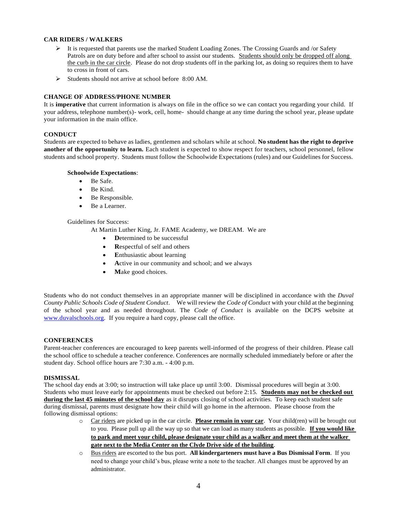#### **CAR RIDERS / WALKERS**

- It is requested that parents use the marked Student Loading Zones. The Crossing Guards and /or Safety Patrols are on duty before and after school to assist our students. Students should only be dropped off along the curb in the car circle. Please do not drop students off in the parking lot, as doing so requires them to have to cross in front of cars.
- $\triangleright$  Students should not arrive at school before 8:00 AM.

#### **CHANGE OF ADDRESS/PHONE NUMBER**

It is **imperative** that current information is always on file in the office so we can contact you regarding your child. If your address, telephone number(s)- work, cell, home- should change at any time during the school year, please update your information in the main office.

#### **CONDUCT**

Students are expected to behave as ladies, gentlemen and scholars while at school. **No student has the right to deprive another of the opportunity to learn.** Each student is expected to show respect for teachers, school personnel, fellow students and school property. Students must follow the Schoolwide Expectations (rules) and our Guidelines for Success.

#### **Schoolwide Expectations**:

- Be Safe.
- Be Kind.
- Be Responsible.
- Be a Learner.

#### Guidelines for Success:

At Martin Luther King, Jr. FAME Academy, we DREAM. We are

- **D**etermined to be successful
- **R**espectful of self and others
- Enthusiastic about learning
- Active in our community and school; and we always
- Make good choices.

Students who do not conduct themselves in an appropriate manner will be disciplined in accordance with the *Duval County Public Schools Code of Student Conduct*. We will review the *Code of Conduct* with your child at the beginning of the school year and as needed throughout. The *Code of Conduct* is available on the DCPS website at [www.duvalschools.org.](http://www.duvalschools.org/) If you require a hard copy, please call the office.

#### **CONFERENCES**

Parent-teacher conferences are encouraged to keep parents well-informed of the progress of their children. Please call the school office to schedule a teacher conference. Conferences are normally scheduled immediately before or after the student day. School office hours are 7:30 a.m. - 4:00 p.m.

#### **DISMISSAL**

The school day ends at 3:00; so instruction will take place up until 3:00. Dismissal procedures will begin at 3:00. Students who must leave early for appointments must be checked out before 2:15. **Students may not be checked out during the last 45 minutes of the school day** as it disrupts closing of school activities. To keep each student safe during dismissal, parents must designate how their child will go home in the afternoon. Please choose from the following dismissal options:

- o Car riders are picked up in the car circle. **Please remain in your car**. Your child(ren) will be brought out to you. Please pull up all the way up so that we can load as many students as possible. **If you would like to park and meet your child, please designate your child as a walker and meet them at the walker gate next to the Media Center on the Clyde Drive side of the building**.
- o Bus riders are escorted to the bus port. **All kindergarteners must have a Bus Dismissal Form**. If you need to change your child's bus, please write a note to the teacher. All changes must be approved by an administrator.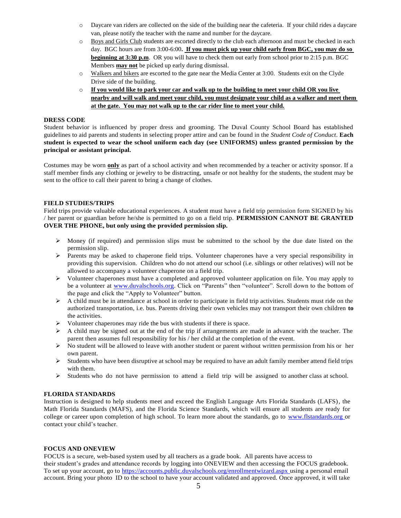- o Daycare van riders are collected on the side of the building near the cafeteria. If your child rides a daycare van, please notify the teacher with the name and number for the daycare.
- o Boys and Girls Club students are escorted directly to the club each afternoon and must be checked in each day. BGC hours are from 3:00-6:00**. If you must pick up your child early from BGC, you may do so beginning at 3:30 p.m.** OR you will have to check them out early from school prior to 2:15 p.m. BGC Members **may not** be picked up early during dismissal.
- o Walkers and bikers are escorted to the gate near the Media Center at 3:00. Students exit on the Clyde Drive side of the building.
- o **If you would like to park your car and walk up to the building to meet your child OR you live nearby and will walk and meet your child, you must designate your child as a walker and meet them at the gate. You may not walk up to the car rider line to meet your child.**

#### **DRESS CODE**

Student behavior is influenced by proper dress and grooming. The Duval County School Board has established guidelines to aid parents and students in selecting proper attire and can be found in the *Student Code of Conduct*. **Each student is expected to wear the school uniform each day (see UNIFORMS) unless granted permission by the principal or assistant principal.**

Costumes may be worn **only** as part of a school activity and when recommended by a teacher or activity sponsor. If a staff member finds any clothing or jewelry to be distracting, unsafe or not healthy for the students, the student may be sent to the office to call their parent to bring a change of clothes.

#### **FIELD STUDIES/TRIPS**

Field trips provide valuable educational experiences. A student must have a field trip permission form SIGNED by his / her parent or guardian before he/she is permitted to go on a field trip. **PERMISSION CANNOT BE GRANTED OVER THE PHONE, but only using the provided permission slip.** 

- $\triangleright$  Money (if required) and permission slips must be submitted to the school by the due date listed on the permission slip.
- Parents may be asked to chaperone field trips. Volunteer chaperones have a very special responsibility in providing this supervision. Children who do not attend our school (i.e. siblings or other relatives) will not be allowed to accompany a volunteer chaperone on a field trip.
- $\triangleright$  Volunteer chaperones must have a completed and approved volunteer application on file. You may apply to be a volunteer at [www.duvalschools.org.](http://www.duvalschools.org/) Click on "Parents" then "volunteer". Scroll down to the bottom of the page and click the "Apply to Volunteer" button.
- $\triangleright$  A child must be in attendance at school in order to participate in field trip activities. Students must ride on the authorized transportation, i.e. bus. Parents driving their own vehicles may not transport their own children **to**  the activities.
- Volunteer chaperones may ride the bus with students if there is space.
- A child may be signed out at the end of the trip if arrangements are made in advance with the teacher. The parent then assumes full responsibility for his / her child at the completion of the event.
- $\triangleright$  No student will be allowed to leave with another student or parent without written permission from his or her own parent.
- $\triangleright$  Students who have been disruptive at school may be required to have an adult family member attend field trips with them.
- $\triangleright$  Students who do not have permission to attend a field trip will be assigned to another class at school.

#### **FLORIDA STANDARDS**

Instruction is designed to help students meet and exceed the English Language Arts Florida Standards (LAFS), the Math Florida Standards (MAFS), and the Florida Science Standards, which will ensure all students are ready for college or career upon completion of high school. To learn more about the standards, go to [www.flstandards.org](http://www.flstandards.org/) or contact your child's teacher.

#### **FOCUS AND ONEVIEW**

FOCUS is a secure, web-based system used by all teachers as a grade book. All parents have access to their student's grades and attendance records by logging into ONEVIEW and then accessing the FOCUS gradebook. To set up your account, go to https://accounts.public.duvalschools.org/enrollmentwizard.aspx using a personal email account. Bring your photo ID to the school to have your account validated and approved. Once approved, it will take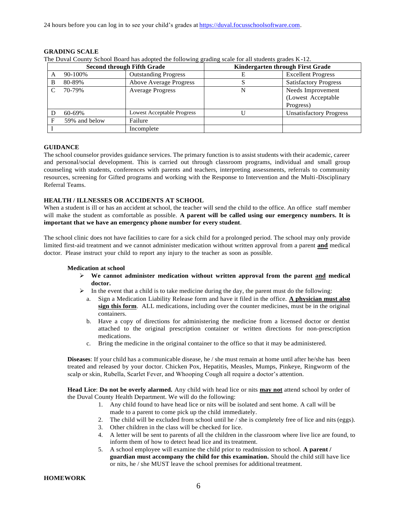24 hours before you can log in to see your child's grades at https://duval.focusschoolsoftware.com.

The Duval County School Board has adopted the following grading scale for all students grades K-12.

| <b>Second through Fifth Grade</b> |               |                                   | Kindergarten through First Grade |                                |
|-----------------------------------|---------------|-----------------------------------|----------------------------------|--------------------------------|
| A                                 | 90-100%       | <b>Outstanding Progress</b>       |                                  | <b>Excellent Progress</b>      |
| B                                 | 80-89%        | Above Average Progress            |                                  | <b>Satisfactory Progress</b>   |
|                                   | 70-79%        | <b>Average Progress</b>           |                                  | Needs Improvement              |
|                                   |               |                                   |                                  | (Lowest Acceptable             |
|                                   |               |                                   |                                  | Progress)                      |
|                                   | $60 - 69\%$   | <b>Lowest Acceptable Progress</b> |                                  | <b>Unsatisfactory Progress</b> |
| Е                                 | 59% and below | Failure                           |                                  |                                |
|                                   |               | Incomplete                        |                                  |                                |

**GRADING SCALE**

# **GUIDANCE**

The school counselor provides guidance services. The primary function is to assist students with their academic, career and personal/social development. This is carried out through classroom programs, individual and small group counseling with students, conferences with parents and teachers, interpreting assessments, referrals to community resources, screening for Gifted programs and working with the Response to Intervention and the Multi-Disciplinary Referral Teams.

#### **HEALTH / ILLNESSES OR ACCIDENTS AT SCHOOL**

When a student is ill or has an accident at school, the teacher will send the child to the office. An office staff member will make the student as comfortable as possible. **A parent will be called using our emergency numbers. It is important that we have an emergency phone number for every student**.

The school clinic does not have facilities to care for a sick child for a prolonged period. The school may only provide limited first-aid treatment and we cannot administer medication without written approval from a parent **and** medical doctor. Please instruct your child to report any injury to the teacher as soon as possible.

#### **Medication at school**

- $\triangleright$  We cannot administer medication without written approval from the parent and medical **doctor.**
- $\triangleright$  In the event that a child is to take medicine during the day, the parent must do the following:
	- a. Sign a Medication Liability Release form and have it filed in the office. **A physician must also sign this form**. ALL medications, including over the counter medicines, must be in the original containers.
	- b. Have a copy of directions for administering the medicine from a licensed doctor or dentist attached to the original prescription container or written directions for non-prescription medications.
	- c. Bring the medicine in the original container to the office so that it may be administered.

**Diseases**: If your child has a communicable disease, he / she must remain at home until after he/she has been treated and released by your doctor. Chicken Pox, Hepatitis, Measles, Mumps, Pinkeye, Ringworm of the scalp or skin, Rubella, Scarlet Fever, and Whooping Cough all require a doctor's attention.

**Head Lice**: **Do not be overly alarmed.** Any child with head lice or nits **may not** attend school by order of the Duval County Health Department. We will do the following:

- 1. Any child found to have head lice or nits will be isolated and sent home. A call will be made to a parent to come pick up the child immediately.
- 2. The child will be excluded from school until he / she is completely free of lice and nits (eggs).
- 3. Other children in the class will be checked for lice.
- 4. A letter will be sent to parents of all the children in the classroom where live lice are found, to inform them of how to detect head lice and its treatment.
- 5. A school employee will examine the child prior to readmission to school. **A parent / guardian must accompany the child for this examination.** Should the child still have lice or nits, he / she MUST leave the school premises for additional treatment.

#### **HOMEWORK**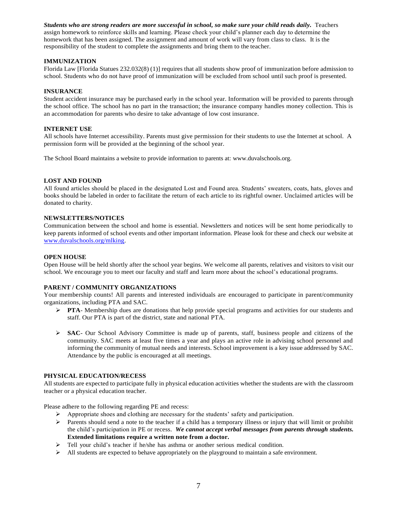*Students who are strong readers are more successful in school, so make sure your child reads daily.* Teachers assign homework to reinforce skills and learning. Please check your child's planner each day to determine the homework that has been assigned. The assignment and amount of work will vary from class to class. It is the responsibility of the student to complete the assignments and bring them to the teacher.

#### **IMMUNIZATION**

Florida Law [Florida Statues 232.032(8) (1)] requires that all students show proof of immunization before admission to school. Students who do not have proof of immunization will be excluded from school until such proof is presented.

#### **INSURANCE**

Student accident insurance may be purchased early in the school year. Information will be provided to parents through the school office. The school has no part in the transaction; the insurance company handles money collection. This is an accommodation for parents who desire to take advantage of low cost insurance.

#### **INTERNET USE**

All schools have Internet accessibility. Parents must give permission for their students to use the Internet at school. A permission form will be provided at the beginning of the school year.

The School Board maintains a website to provide information to parents at: [www.duvalschools.org.](http://www.duvalschools.org/)

#### **LOST AND FOUND**

All found articles should be placed in the designated Lost and Found area. Students' sweaters, coats, hats, gloves and books should be labeled in order to facilitate the return of each article to its rightful owner. Unclaimed articles will be donated to charity.

#### **NEWSLETTERS/NOTICES**

Communication between the school and home is essential. Newsletters and notices will be sent home periodically to keep parents informed of school events and other important information. Please look for these and check our website at [www.duvalschools.org/mlking.](http://www.duvalschools.org/mlking)

#### **OPEN HOUSE**

Open House will be held shortly after the school year begins. We welcome all parents, relatives and visitors to visit our school. We encourage you to meet our faculty and staff and learn more about the school's educational programs.

#### **PARENT / COMMUNITY ORGANIZATIONS**

Your membership counts! All parents and interested individuals are encouraged to participate in parent/community organizations, including PTA and SAC.

- **PTA** Membership dues are donations that help provide special programs and activities for our students and staff. Our PTA is part of the district, state and national PTA.
- $\triangleright$  **SAC** Our School Advisory Committee is made up of parents, staff, business people and citizens of the community. SAC meets at least five times a year and plays an active role in advising school personnel and informing the community of mutual needs and interests. School improvement is a key issue addressed by SAC. Attendance by the public is encouraged at all meetings.

#### **PHYSICAL EDUCATION/RECESS**

All students are expected to participate fully in physical education activities whether the students are with the classroom teacher or a physical education teacher.

Please adhere to the following regarding PE and recess:

- $\triangleright$  Appropriate shoes and clothing are necessary for the students' safety and participation.
- $\triangleright$  Parents should send a note to the teacher if a child has a temporary illness or injury that will limit or prohibit the child's participation in PE or recess. *We cannot accept verbal messages from parents through students.*  **Extended limitations require a written note from a doctor.**
- $\triangleright$  Tell your child's teacher if he/she has asthma or another serious medical condition.
- $\triangleright$  All students are expected to behave appropriately on the playground to maintain a safe environment.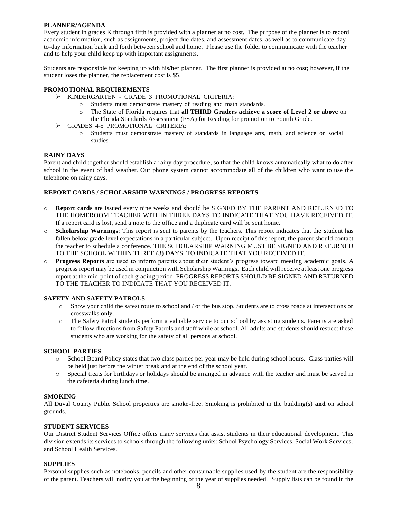#### **PLANNER/AGENDA**

Every student in grades K through fifth is provided with a planner at no cost. The purpose of the planner is to record academic information, such as assignments, project due dates, and assessment dates, as well as to communicate dayto-day information back and forth between school and home. Please use the folder to communicate with the teacher and to help your child keep up with important assignments.

Students are responsible for keeping up with his/her planner. The first planner is provided at no cost; however, if the student loses the planner, the replacement cost is \$5.

#### **PROMOTIONAL REQUIREMENTS**

- KINDERGARTEN GRADE 3 PROMOTIONAL CRITERIA:
	- o Students must demonstrate mastery of reading and math standards.
		- o The State of Florida requires that **all THIRD Graders achieve a score of Level 2 or above** on the Florida Standards Assessment (FSA) for Reading for promotion to Fourth Grade.
- GRADES 4-5 PROMOTIONAL CRITERIA:
	- o Students must demonstrate mastery of standards in language arts, math, and science or social studies.

#### **RAINY DAYS**

Parent and child together should establish a rainy day procedure, so that the child knows automatically what to do after school in the event of bad weather. Our phone system cannot accommodate all of the children who want to use the telephone on rainy days.

#### **REPORT CARDS / SCHOLARSHIP WARNINGS / PROGRESS REPORTS**

- o **Report cards** are issued every nine weeks and should be SIGNED BY THE PARENT AND RETURNED TO THE HOMEROOM TEACHER WITHIN THREE DAYS TO INDICATE THAT YOU HAVE RECEIVED IT. If a report card is lost, send a note to the office and a duplicate card will be sent home.
- o **Scholarship Warnings**: This report is sent to parents by the teachers. This report indicates that the student has fallen below grade level expectations in a particular subject. Upon receipt of this report, the parent should contact the teacher to schedule a conference. THE SCHOLARSHIP WARNING MUST BE SIGNED AND RETURNED TO THE SCHOOL WITHIN THREE (3) DAYS, TO INDICATE THAT YOU RECEIVED IT.
- o **Progress Reports** are used to inform parents about their student's progress toward meeting academic goals. A progress report may be used in conjunction with Scholarship Warnings. Each child will receive at least one progress report at the mid-point of each grading period. PROGRESS REPORTS SHOULD BE SIGNED AND RETURNED TO THE TEACHER TO INDICATE THAT YOU RECEIVED IT.

#### **SAFETY AND SAFETY PATROLS**

- o Show your child the safest route to school and / or the bus stop. Students are to cross roads at intersections or crosswalks only.
- o The Safety Patrol students perform a valuable service to our school by assisting students. Parents are asked to follow directions from Safety Patrols and staff while at school. All adults and students should respect these students who are working for the safety of all persons at school.

#### **SCHOOL PARTIES**

- o School Board Policy states that two class parties per year may be held during school hours. Class parties will be held just before the winter break and at the end of the school year.
- o Special treats for birthdays or holidays should be arranged in advance with the teacher and must be served in the cafeteria during lunch time.

#### **SMOKING**

All Duval County Public School properties are smoke-free. Smoking is prohibited in the building(s) **and** on school grounds.

#### **STUDENT SERVICES**

Our District Student Services Office offers many services that assist students in their educational development. This division extends its services to schools through the following units: School Psychology Services, Social Work Services, and School Health Services.

#### **SUPPLIES**

Personal supplies such as notebooks, pencils and other consumable supplies used by the student are the responsibility of the parent. Teachers will notify you at the beginning of the year of supplies needed. Supply lists can be found in the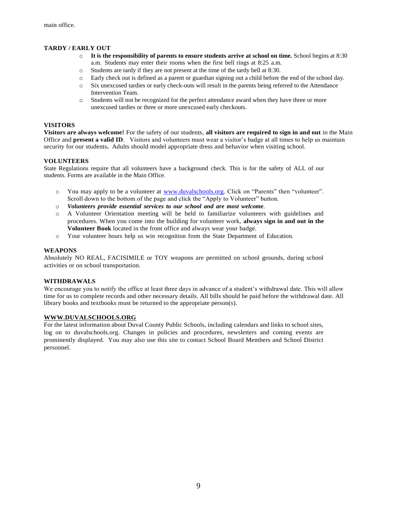#### **TARDY / EARLY OUT**

- o **It is the responsibility of parents to ensure students arrive at school on time.** School begins at 8:30 a.m. Students may enter their rooms when the first bell rings at 8:25 a.m.
- Students are tardy if they are not present at the time of the tardy bell at 8:30.
- o Early check out is defined as a parent or guardian signing out a child before the end of the school day.
- o Six unexcused tardies or early check-outs will result in the parents being referred to the Attendance Intervention Team.
- Students will not be recognized for the perfect attendance award when they have three or more unexcused tardies or three or more unexcused early checkouts.

#### **VISITORS**

**Visitors are always welcome!** For the safety of our students, **all visitors are required to sign in and out** in the Main Office and **present a valid ID**. Visitors and volunteers must wear a visitor's badge at all times to help us maintain security for our students**.** Adults should model appropriate dress and behavior when visiting school.

#### **VOLUNTEERS**

State Regulations require that all volunteers have a background check. This is for the safety of ALL of our students. Forms are available in the Main Office.

- o You may apply to be a volunteer at [www.duvalschools.org.](http://www.duvalschools.org/) Click on "Parents" then "volunteer". Scroll down to the bottom of the page and click the "Apply to Volunteer" button.
- o *Volunteers provide essential services to our school and are most welcome*.
- o A Volunteer Orientation meeting will be held to familiarize volunteers with guidelines and procedures. When you come into the building for volunteer work, **always sign in and out in the Volunteer Book** located in the front office and always wear your badge.
- o Your volunteer hours help us win recognition from the State Department of Education.

#### **WEAPONS**

Absolutely NO REAL, FACISIMILE or TOY weapons are permitted on school grounds, during school activities or on school transportation.

#### **WITHDRAWALS**

We encourage you to notify the office at least three days in advance of a student's withdrawal date. This will allow time for us to complete records and other necessary details. All bills should be paid before the withdrawal date. All library books and textbooks must be returned to the appropriate person(s).

#### **[WWW.DUVALSCHOOLS.ORG](http://www.duvalschools.org/)**

For the latest information about Duval County Public Schools, including calendars and links to school sites, log on to duvalschools.org. Changes in policies and procedures, newsletters and coming events are prominently displayed. You may also use this site to contact School Board Members and School District personnel.